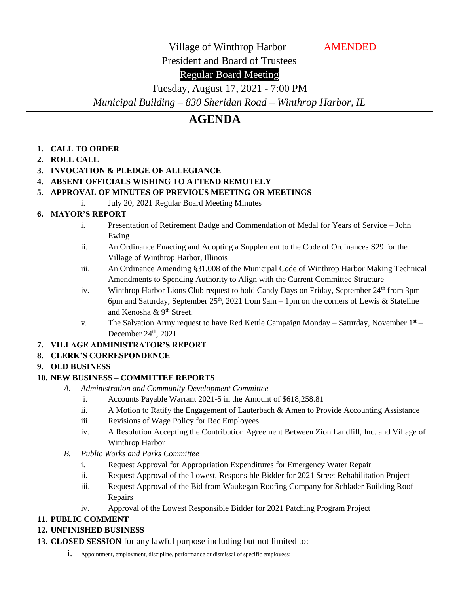Village of Winthrop Harbor **AMENDED** 

President and Board of Trustees

# Regular Board Meeting

Tuesday, August 17, 2021 - 7:00 PM *Municipal Building – 830 Sheridan Road – Winthrop Harbor, IL*

# **AGENDA**

- **1. CALL TO ORDER**
- **2. ROLL CALL**
- **3. INVOCATION & PLEDGE OF ALLEGIANCE**
- **4. ABSENT OFFICIALS WISHING TO ATTEND REMOTELY**

### **5. APPROVAL OF MINUTES OF PREVIOUS MEETING OR MEETINGS**

i. July 20, 2021 Regular Board Meeting Minutes

# **6. MAYOR'S REPORT**

- i. Presentation of Retirement Badge and Commendation of Medal for Years of Service John Ewing
- ii. An Ordinance Enacting and Adopting a Supplement to the Code of Ordinances S29 for the Village of Winthrop Harbor, Illinois
- iii. An Ordinance Amending §31.008 of the Municipal Code of Winthrop Harbor Making Technical Amendments to Spending Authority to Align with the Current Committee Structure
- iv. Winthrop Harbor Lions Club request to hold Candy Days on Friday, September  $24<sup>th</sup>$  from 3pm 6pm and Saturday, September 25<sup>th</sup>, 2021 from 9am – 1pm on the corners of Lewis & Stateline and Kenosha & 9th Street.
- v. The Salvation Army request to have Red Kettle Campaign Monday Saturday, November  $1<sup>st</sup>$  December  $24<sup>th</sup>$ ,  $2021$

# **7. VILLAGE ADMINISTRATOR'S REPORT**

# **8. CLERK'S CORRESPONDENCE**

#### **9. OLD BUSINESS**

# **10. NEW BUSINESS – COMMITTEE REPORTS**

- *A. Administration and Community Development Committee*
	- i. Accounts Payable Warrant 2021-5 in the Amount of \$618,258.81
	- ii. A Motion to Ratify the Engagement of Lauterbach & Amen to Provide Accounting Assistance
	- iii. Revisions of Wage Policy for Rec Employees
	- iv. A Resolution Accepting the Contribution Agreement Between Zion Landfill, Inc. and Village of Winthrop Harbor
- *B. Public Works and Parks Committee*
	- i. Request Approval for Appropriation Expenditures for Emergency Water Repair
	- ii. Request Approval of the Lowest, Responsible Bidder for 2021 Street Rehabilitation Project
	- iii. Request Approval of the Bid from Waukegan Roofing Company for Schlader Building Roof Repairs
	- iv. Approval of the Lowest Responsible Bidder for 2021 Patching Program Project

#### **11. PUBLIC COMMENT**

# **12. UNFINISHED BUSINESS**

- **13. CLOSED SESSION** for any lawful purpose including but not limited to:
	- i. Appointment, employment, discipline, performance or dismissal of specific employees;